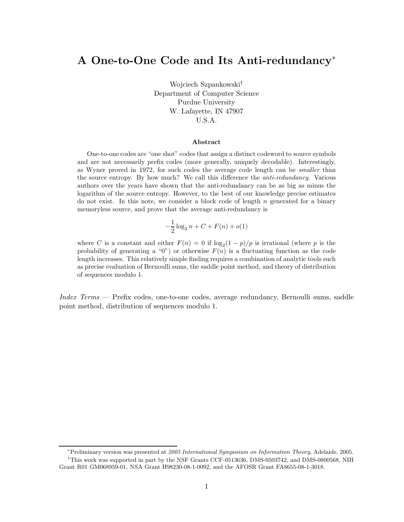# A One-to-One Code and Its Anti-redundancy<sup>∗</sup>

Wojciech Szpankowski† Department of Computer Science Purdue University W. Lafayette, IN 47907 U.S.A.

#### Abstract

One-to-one codes are "one shot" codes that assign a distinct codeword to source symbols and are not necessarily prefix codes (more generally, uniquely decodable). Interestingly, as Wyner proved in 1972, for such codes the average code length can be smaller than the source entropy. By how much? We call this difference the anti-redundancy. Various authors over the years have shown that the anti-redundancy can be as big as minus the logarithm of the source entropy. However, to the best of our knowledge precise estimates do not exist. In this note, we consider a block code of length  $n$  generated for a binary memoryless source, and prove that the average anti-redundancy is

$$
-\frac{1}{2}\log_2 n + C + F(n) + o(1)
$$

where C is a constant and either  $F(n) = 0$  if  $\log_2(1-p)/p$  is irrational (where p is the probability of generating a "0") or otherwise  $F(n)$  is a fluctuating function as the code length increases. This relatively simple finding requires a combination of analytic tools such as precise evaluation of Bernoulli sums, the saddle point method, and theory of distribution of sequences modulo 1.

Index Terms — Prefix codes, one-to-one codes, average redundancy, Bernoulli sums, saddle point method, distribution of sequences modulo 1.

<sup>∗</sup>Preliminary version was presented at 2005 International Symposium on Information Theory, Adelaide, 2005. †This work was supported in part by the NSF Grants CCF-0513636, DMS-0503742, and DMS-0800568, NIH Grant R01 GM068959-01, NSA Grant H98230-08-1-0092, and the AFOSR Grant FA8655-08-1-3018.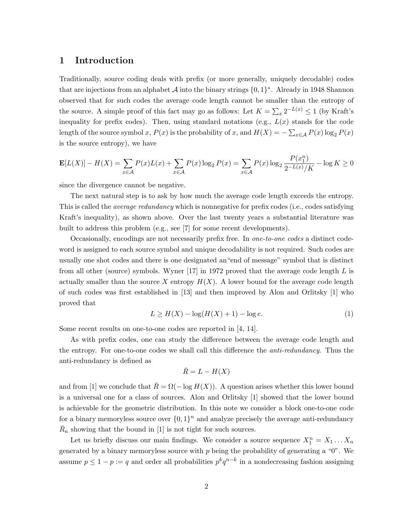#### 1 Introduction

Traditionally, source coding deals with prefix (or more generally, uniquely decodable) codes that are injections from an alphabet  $A$  into the binary strings  $\{0, 1\}^*$ . Already in 1948 Shannon observed that for such codes the average code length cannot be smaller than the entropy of the source. A simple proof of this fact may go as follows: Let  $K = \sum_{x} 2^{-L(x)} \le 1$  (by Kraft's inequality for prefix codes). Then, using standard notations (e.g.,  $L(x)$  stands for the code length of the source symbol x,  $P(x)$  is the probability of x, and  $H(X) = -\sum_{x \in A} P(x) \log_2 P(x)$ is the source entropy), we have

$$
\mathbf{E}[L(X)] - H(X) = \sum_{x \in \mathcal{A}} P(x)L(x) + \sum_{x \in \mathcal{A}} P(x) \log_2 P(x) = \sum_{x \in \mathcal{A}} P(x) \log_2 \frac{P(x_1^n)}{2^{-L(x)}/K} - \log K \ge 0
$$

since the divergence cannot be negative.

The next natural step is to ask by how much the average code length exceeds the entropy. This is called the *average redundancy* which is nonnegative for prefix codes (i.e., codes satisfying Kraft's inequality), as shown above. Over the last twenty years a substantial literature was built to address this problem (e.g., see [7] for some recent developments).

Occasionally, encodings are not necessarily prefix free. In one-to-one codes a distinct codeword is assigned to each source symbol and unique decodability is not required. Such codes are usually one shot codes and there is one designated an"end of message" symbol that is distinct from all other (source) symbols. Wyner  $[17]$  in 1972 proved that the average code length L is actually smaller than the source X entropy  $H(X)$ . A lower bound for the average code length of such codes was first established in [13] and then improved by Alon and Orlitsky [1] who proved that

$$
L \ge H(X) - \log(H(X) + 1) - \log e. \tag{1}
$$

Some recent results on one-to-one codes are reported in [4, 14].

As with prefix codes, one can study the difference between the average code length and the entropy. For one-to-one codes we shall call this difference the *anti-redundancy*. Thus the anti-redundancy is defined as

$$
\bar{R} = L - H(X)
$$

and from [1] we conclude that  $\bar{R} = \Omega(- \log H(X))$ . A question arises whether this lower bound is a universal one for a class of sources. Alon and Orlitsky [1] showed that the lower bound is achievable for the geometric distribution. In this note we consider a block one-to-one code for a binary memoryless source over  $\{0,1\}^n$  and analyze precisely the average anti-redundancy  $\bar{R}_n$  showing that the bound in [1] is not tight for such sources.

Let us briefly discuss our main findings. We consider a source sequence  $X_1^n = X_1 \dots X_n$ generated by a binary memoryless source with  $p$  being the probability of generating a " $0$ ". We assume  $p \leq 1 - p := q$  and order all probabilities  $p^k q^{n-k}$  in a nondecreasing fashion assigning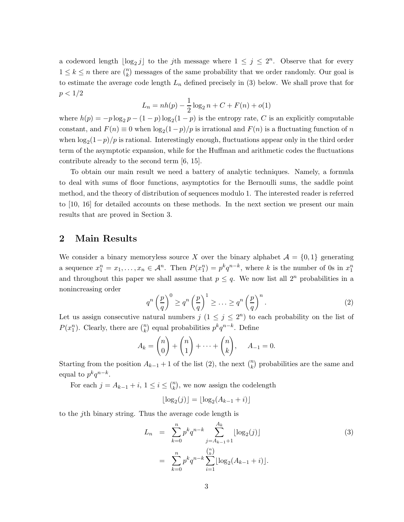a codeword length  $\lfloor \log_2 j \rfloor$  to the *j*th message where  $1 \leq j \leq 2^n$ . Observe that for every  $1 \leq k \leq n$  there are  $\binom{n}{k}$  messages of the same probability that we order randomly. Our goal is to estimate the average code length  $L_n$  defined precisely in (3) below. We shall prove that for  $p < 1/2$ 

$$
L_n = nh(p) - \frac{1}{2}\log_2 n + C + F(n) + o(1)
$$

where  $h(p) = -p \log_2 p - (1 - p) \log_2 (1 - p)$  is the entropy rate, C is an explicitly computable constant, and  $F(n) \equiv 0$  when  $\log_2(1-p)/p$  is irrational and  $F(n)$  is a fluctuating function of n when  $\log_2(1-p)/p$  is rational. Interestingly enough, fluctuations appear only in the third order term of the asymptotic expansion, while for the Huffman and arithmetic codes the fluctuations contribute already to the second term [6, 15].

To obtain our main result we need a battery of analytic techniques. Namely, a formula to deal with sums of floor functions, asymptotics for the Bernoulli sums, the saddle point method, and the theory of distribution of sequences modulo 1. The interested reader is referred to [10, 16] for detailed accounts on these methods. In the next section we present our main results that are proved in Section 3.

### 2 Main Results

We consider a binary memoryless source X over the binary alphabet  $\mathcal{A} = \{0, 1\}$  generating a sequence  $x_1^n = x_1, \ldots, x_n \in \mathcal{A}^n$ . Then  $P(x_1^n) = p^k q^{n-k}$ , where k is the number of 0s in  $x_1^n$ and throughout this paper we shall assume that  $p \leq q$ . We now list all  $2^n$  probabilities in a nonincreasing order

$$
q^n \left(\frac{p}{q}\right)^0 \ge q^n \left(\frac{p}{q}\right)^1 \ge \ldots \ge q^n \left(\frac{p}{q}\right)^n. \tag{2}
$$

Let us assign consecutive natural numbers  $j$   $(1 \leq j \leq 2^n)$  to each probability on the list of  $P(x_1^n)$ . Clearly, there are  $\binom{n}{k}$  equal probabilities  $p^k q^{n-k}$ . Define

$$
A_k = \binom{n}{0} + \binom{n}{1} + \dots + \binom{n}{k}, \quad A_{-1} = 0.
$$

Starting from the position  $A_{k-1}$  + 1 of the list (2), the next  $\binom{n}{k}$  probabilities are the same and equal to  $p^k q^{n-k}$ .

For each  $j = A_{k-1} + i$ ,  $1 \leq i \leq {n \choose k}$ , we now assign the codelength

$$
\lfloor \log_2(j) \rfloor = \lfloor \log_2(A_{k-1} + i) \rfloor
$$

to the jth binary string. Thus the average code length is

$$
L_n = \sum_{k=0}^{n} p^k q^{n-k} \sum_{j=A_{k-1}+1}^{A_k} \lfloor \log_2(j) \rfloor
$$
  

$$
= \sum_{k=0}^{n} p^k q^{n-k} \sum_{i=1}^{n} \lfloor \log_2(A_{k-1}+i) \rfloor.
$$
 (3)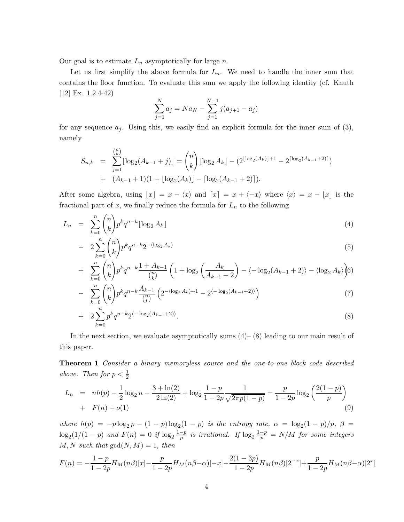Our goal is to estimate  $L_n$  asymptotically for large n.

Let us first simplify the above formula for  $L_n$ . We need to handle the inner sum that contains the floor function. To evaluate this sum we apply the following identity (cf. Knuth [12] Ex. 1.2.4-42)

$$
\sum_{j=1}^{N} a_j = Na_N - \sum_{j=1}^{N-1} j(a_{j+1} - a_j)
$$

for any sequence  $a_i$ . Using this, we easily find an explicit formula for the inner sum of (3), namely

$$
S_{n,k} = \sum_{j=1}^{\binom{n}{k}} \lfloor \log_2(A_{k-1} + j) \rfloor = \binom{n}{k} \lfloor \log_2 A_k \rfloor - (2^{\lfloor \log_2(A_k) \rfloor + 1} - 2^{\lceil \log_2(A_{k-1} + 2) \rceil}) + (A_{k-1} + 1)(1 + \lfloor \log_2(A_k) \rfloor - \lceil \log_2(A_{k-1} + 2) \rceil).
$$

After some algebra, using  $\lfloor x \rfloor = x - \langle x \rangle$  and  $\lceil x \rceil = x + \langle -x \rangle$  where  $\langle x \rangle = x - \lfloor x \rfloor$  is the fractional part of  $x$ , we finally reduce the formula for  $L_n$  to the following

$$
L_n = \sum_{k=0}^n \binom{n}{k} p^k q^{n-k} \lfloor \log_2 A_k \rfloor \tag{4}
$$

$$
- 2\sum_{k=0}^{n} \binom{n}{k} p^k q^{n-k} 2^{-\langle \log_2 A_k \rangle} \tag{5}
$$

+ 
$$
\sum_{k=0}^{n} {n \choose k} p^k q^{n-k} \frac{1 + A_{k-1}}{\binom{n}{k}} \left( 1 + \log_2 \left( \frac{A_k}{A_{k-1} + 2} \right) - \langle -\log_2 (A_{k-1} + 2) \rangle - \langle \log_2 A_k \rangle \right) 6
$$

$$
- \sum_{k=0}^{n} {n \choose k} p^{k} q^{n-k} \frac{A_{k-1}}{\binom{n}{k}} \left( 2^{-\langle \log_2 A_k \rangle + 1} - 2^{\langle -\log_2(A_{k-1}+2) \rangle} \right) \tag{7}
$$

$$
+ 2\sum_{k=0}^{n} p^k q^{n-k} 2^{\langle -\log_2(A_{k-1}+2) \rangle}.
$$
\n(8)

In the next section, we evaluate asymptotically sums  $(4)$ – $(8)$  leading to our main result of this paper.

Theorem 1 Consider a binary memoryless source and the one-to-one block code described above. Then for  $p < \frac{1}{2}$ 

$$
L_n = nh(p) - \frac{1}{2}\log_2 n - \frac{3 + \ln(2)}{2\ln(2)} + \log_2 \frac{1 - p}{1 - 2p} \frac{1}{\sqrt{2\pi p(1 - p)}} + \frac{p}{1 - 2p} \log_2 \left(\frac{2(1 - p)}{p}\right)
$$
  
+  $F(n) + o(1)$  (9)

where  $h(p) = -p \log_2 p - (1-p) \log_2 (1-p)$  is the entropy rate,  $\alpha = \log_2 (1-p)/p$ ,  $\beta =$  $\log_2(1/(1-p)$  and  $F(n) = 0$  if  $\log_2 \frac{1-p}{p}$  $\frac{-p}{p}$  is irrational. If  $\log_2 \frac{1-p}{p} = N/M$  for some integers  $M, N$  such that  $gcd(N, M) = 1$ , then

$$
F(n) = -\frac{1-p}{1-2p}H_M(n\beta)[x] - \frac{p}{1-2p}H_M(n\beta - \alpha)[-x] - \frac{2(1-3p)}{1-2p}H_M(n\beta)[2^{-x}] + \frac{p}{1-2p}H_M(n\beta - \alpha)[2^x]
$$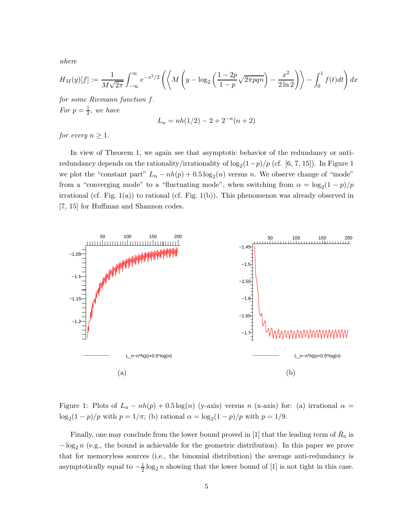where

$$
H_M(y)[f] := \frac{1}{M\sqrt{2\pi}} \int_{-\infty}^{\infty} e^{-x^2/2} \left( \left\langle M\left(y - \log_2\left(\frac{1 - 2p}{1 - p}\sqrt{2\pi p q n}\right) - \frac{x^2}{2\ln 2}\right) \right\rangle - \int_0^1 f(t)dt \right) dx
$$

for some Riemann function f. For  $p=\frac{1}{2}$  $\frac{1}{2}$ , we have

$$
L_n = nh(1/2) - 2 + 2^{-n}(n+2)
$$

for every  $n \geq 1$ .

In view of Theorem 1, we again see that asymptotic behavior of the redundancy or antiredundancy depends on the rationality/irrationality of  $\log_2(1-p)/p$  (cf. [6, 7, 15]). In Figure 1 we plot the "constant part"  $L_n - nh(p) + 0.5 \log_2(n)$  versus n. We observe change of "mode" from a "converging mode" to a "fluctuating mode", when switching from  $\alpha = \log_2(1-p)/p$ irrational (cf. Fig. 1(a)) to rational (cf. Fig. 1(b)). This phenomenon was already observed in [7, 15] for Huffman and Shannon codes.



Figure 1: Plots of  $L_n - nh(p) + 0.5 \log(n)$  (y-axis) versus n (x-axis) for: (a) irrational  $\alpha =$  $\log_2(1-p)/p$  with  $p=1/\pi$ ; (b) rational  $\alpha = \log_2(1-p)/p$  with  $p=1/9$ .

Finally, one may conclude from the lower bound proved in [1] that the leading term of  $\bar{R}_n$  is  $-\log_2 n$  (e.g., the bound is achievable for the geometric distribution). In this paper we prove that for memoryless sources (i.e., the binomial distribution) the average anti-redundancy is asymptotically equal to  $-\frac{1}{2}\log_2 n$  showing that the lower bound of [1] is not tight in this case.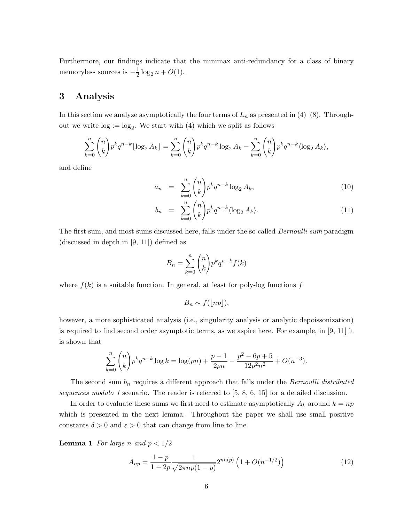Furthermore, our findings indicate that the minimax anti-redundancy for a class of binary memoryless sources is  $-\frac{1}{2}$  $\frac{1}{2}\log_2 n + O(1)$ .

## 3 Analysis

In this section we analyze asymptotically the four terms of  $L_n$  as presented in (4)–(8). Throughout we write  $log := log_2$ . We start with (4) which we split as follows

$$
\sum_{k=0}^{n} \binom{n}{k} p^{k} q^{n-k} \lfloor \log_2 A_k \rfloor = \sum_{k=0}^{n} \binom{n}{k} p^{k} q^{n-k} \log_2 A_k - \sum_{k=0}^{n} \binom{n}{k} p^{k} q^{n-k} \langle \log_2 A_k \rangle,
$$

and define

$$
a_n = \sum_{k=0}^n \binom{n}{k} p^k q^{n-k} \log_2 A_k,
$$
\n(10)

$$
b_n = \sum_{k=0}^n \binom{n}{k} p^k q^{n-k} \langle \log_2 A_k \rangle.
$$
 (11)

The first sum, and most sums discussed here, falls under the so called *Bernoulli sum* paradigm (discussed in depth in [9, 11]) defined as

$$
B_n = \sum_{k=0}^n \binom{n}{k} p^k q^{n-k} f(k)
$$

where  $f(k)$  is a suitable function. In general, at least for poly-log functions f

$$
B_n \sim f(\lfloor np \rfloor),
$$

however, a more sophisticated analysis (i.e., singularity analysis or analytic depoissonization) is required to find second order asymptotic terms, as we aspire here. For example, in [9, 11] it is shown that

$$
\sum_{k=0}^{n} {n \choose k} p^k q^{n-k} \log k = \log(pn) + \frac{p-1}{2pn} - \frac{p^2 - 6p + 5}{12p^2n^2} + O(n^{-3}).
$$

The second sum  $b_n$  requires a different approach that falls under the *Bernoulli distributed* sequences modulo 1 scenario. The reader is referred to  $[5, 8, 6, 15]$  for a detailed discussion.

In order to evaluate these sums we first need to estimate asymptotically  $A_k$  around  $k = np$ which is presented in the next lemma. Throughout the paper we shall use small positive constants  $\delta > 0$  and  $\varepsilon > 0$  that can change from line to line.

**Lemma 1** For large n and  $p < 1/2$ 

$$
A_{np} = \frac{1-p}{1-2p} \frac{1}{\sqrt{2\pi np(1-p)}} 2^{nh(p)} \left( 1 + O(n^{-1/2}) \right)
$$
(12)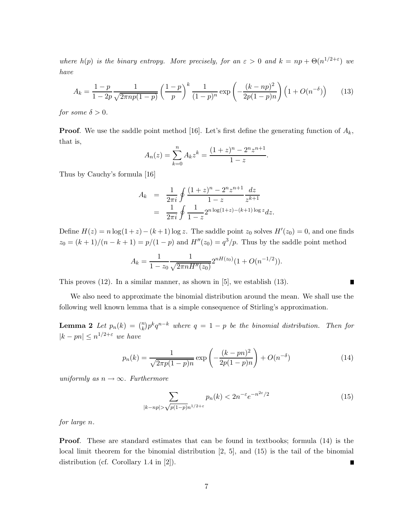where  $h(p)$  is the binary entropy. More precisely, for an  $\varepsilon > 0$  and  $k = np + \Theta(n^{1/2+\varepsilon})$  we have

$$
A_k = \frac{1-p}{1-2p} \frac{1}{\sqrt{2\pi np(1-p)}} \left(\frac{1-p}{p}\right)^k \frac{1}{(1-p)^n} \exp\left(-\frac{(k-np)^2}{2p(1-p)n}\right) \left(1+O(n^{-\delta})\right) \tag{13}
$$

for some  $\delta > 0$ .

**Proof.** We use the saddle point method [16]. Let's first define the generating function of  $A_k$ , that is,

$$
A_n(z) = \sum_{k=0}^n A_k z^k = \frac{(1+z)^n - 2^n z^{n+1}}{1-z}.
$$

Thus by Cauchy's formula [16]

$$
A_k = \frac{1}{2\pi i} \oint \frac{(1+z)^n - 2^n z^{n+1}}{1-z} \frac{dz}{z^{k+1}}
$$
  
= 
$$
\frac{1}{2\pi i} \oint \frac{1}{1-z} 2^{n \log(1+z) - (k+1) \log z} dz.
$$

Define  $H(z) = n \log(1 + z) - (k + 1) \log z$ . The saddle point  $z_0$  solves  $H'(z_0) = 0$ , and one finds  $z_0 = (k+1)/(n-k+1) = p/(1-p)$  and  $H''(z_0) = q^3/p$ . Thus by the saddle point method

$$
A_k = \frac{1}{1 - z_0} \frac{1}{\sqrt{2\pi n H''(z_0)}} 2^{nH(z_0)} (1 + O(n^{-1/2})).
$$

This proves  $(12)$ . In a similar manner, as shown in  $[5]$ , we establish  $(13)$ .

We also need to approximate the binomial distribution around the mean. We shall use the following well known lemma that is a simple consequence of Stirling's approximation.

**Lemma 2** Let  $p_n(k) = {n \choose k} p^k q^{n-k}$  where  $q = 1 - p$  be the binomial distribution. Then for  $|k - pn| \leq n^{1/2 + \varepsilon}$  we have

$$
p_n(k) = \frac{1}{\sqrt{2\pi p(1-p)n}} \exp\left(-\frac{(k-pn)^2}{2p(1-p)n}\right) + O(n^{-\delta})
$$
\n(14)

uniformly as  $n \to \infty$ . Furthermore

$$
\sum_{|k - np| > \sqrt{p(1-p)}n^{1/2 + \varepsilon}} p_n(k) < 2n^{-\varepsilon} e^{-n^{2\varepsilon}/2} \tag{15}
$$

 $\blacksquare$ 

for large n.

Proof. These are standard estimates that can be found in textbooks; formula (14) is the local limit theorem for the binomial distribution [2, 5], and (15) is the tail of the binomial distribution (cf. Corollary 1.4 in [2]). ┓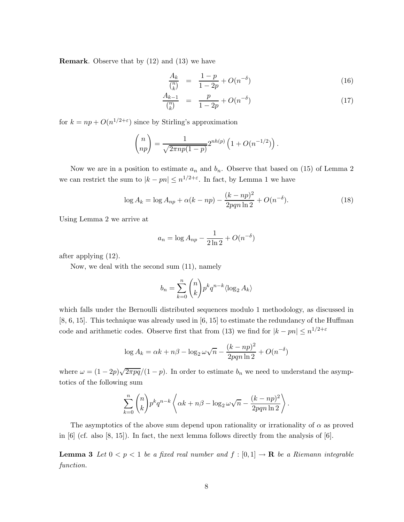Remark. Observe that by (12) and (13) we have

$$
\frac{A_k}{\binom{n}{k}} = \frac{1-p}{1-2p} + O(n^{-\delta}) \tag{16}
$$

$$
\frac{A_{k-1}}{\binom{n}{k}} = \frac{p}{1-2p} + O(n^{-\delta})\tag{17}
$$

for  $k = np + O(n^{1/2+\epsilon})$  since by Stirling's approximation

$$
\binom{n}{np} = \frac{1}{\sqrt{2\pi np(1-p)}} 2^{nh(p)} \left( 1 + O(n^{-1/2}) \right).
$$

Now we are in a position to estimate  $a_n$  and  $b_n$ . Observe that based on (15) of Lemma 2 we can restrict the sum to  $|k - pn| \leq n^{1/2 + \varepsilon}$ . In fact, by Lemma 1 we have

$$
\log A_k = \log A_{np} + \alpha (k - np) - \frac{(k - np)^2}{2pqn \ln 2} + O(n^{-\delta}).
$$
\n(18)

Using Lemma 2 we arrive at

$$
a_n = \log A_{np} - \frac{1}{2\ln 2} + O(n^{-\delta})
$$

after applying (12).

Now, we deal with the second sum (11), namely

$$
b_n = \sum_{k=0}^n \binom{n}{k} p^k q^{n-k} \langle \log_2 A_k \rangle
$$

which falls under the Bernoulli distributed sequences modulo 1 methodology, as discussed in [8, 6, 15]. This technique was already used in [6, 15] to estimate the redundancy of the Huffman code and arithmetic codes. Observe first that from (13) we find for  $|k - pn| \leq n^{1/2 + \varepsilon}$ 

$$
\log A_k = \alpha k + n\beta - \log_2 \omega \sqrt{n} - \frac{(k - np)^2}{2pqn \ln 2} + O(n^{-\delta})
$$

where  $\omega = (1 - 2p)\sqrt{2\pi pq}/(1 - p)$ . In order to estimate  $b_n$  we need to understand the asymptotics of the following sum

$$
\sum_{k=0}^{n} {n \choose k} p^k q^{n-k} \left\langle \alpha k + n\beta - \log_2 \omega \sqrt{n} - \frac{(k - np)^2}{2pqn \ln 2} \right\rangle.
$$

The asymptotics of the above sum depend upon rationality or irrationality of  $\alpha$  as proved in  $[6]$  (cf. also  $[8, 15]$ ). In fact, the next lemma follows directly from the analysis of  $[6]$ .

**Lemma 3** Let  $0 < p < 1$  be a fixed real number and  $f : [0,1] \to \mathbf{R}$  be a Riemann integrable function.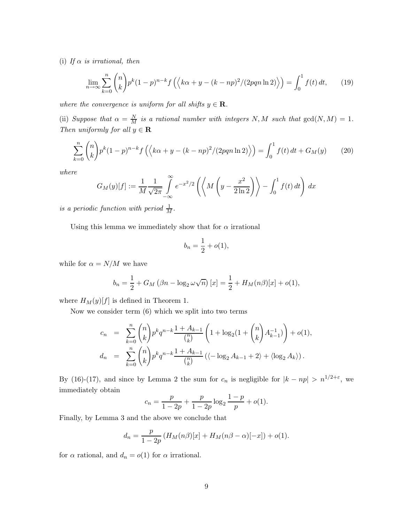(i) If  $\alpha$  is irrational, then

$$
\lim_{n \to \infty} \sum_{k=0}^{n} {n \choose k} p^k (1-p)^{n-k} f\left( \left\langle k\alpha + y - (k - np)^2 / (2pqn \ln 2) \right\rangle \right) = \int_0^1 f(t) \, dt,\qquad(19)
$$

where the convergence is uniform for all shifts  $y \in \mathbf{R}$ .

(ii) Suppose that  $\alpha = \frac{N}{M}$  is a rational number with integers N, M such that  $gcd(N, M) = 1$ . Then uniformly for all  $y \in \mathbf{R}$ 

$$
\sum_{k=0}^{n} {n \choose k} p^{k} (1-p)^{n-k} f\left(\left\langle k\alpha + y - (k - np)^{2} / (2pqn \ln 2) \right\rangle\right) = \int_{0}^{1} f(t) dt + G_{M}(y) \tag{20}
$$

where

$$
G_M(y)[f] := \frac{1}{M} \frac{1}{\sqrt{2\pi}} \int_{-\infty}^{\infty} e^{-x^2/2} \left( \left\langle M \left( y - \frac{x^2}{2 \ln 2} \right) \right\rangle - \int_0^1 f(t) dt \right) dx
$$

is a periodic function with period  $\frac{1}{M}$ .

Using this lemma we immediately show that for  $\alpha$  irrational

$$
b_n = \frac{1}{2} + o(1),
$$

while for  $\alpha = N/M$  we have

$$
b_n = \frac{1}{2} + G_M (\beta n - \log_2 \omega \sqrt{n}) [x] = \frac{1}{2} + H_M(n\beta)[x] + o(1),
$$

where  $H_M(y)[f]$  is defined in Theorem 1.

Now we consider term (6) which we split into two terms

$$
c_n = \sum_{k=0}^n {n \choose k} p^k q^{n-k} \frac{1 + A_{k-1}}{\binom{n}{k}} \left( 1 + \log_2(1 + \binom{n}{k} A_{k-1}^{-1}) \right) + o(1),
$$
  

$$
d_n = \sum_{k=0}^n {n \choose k} p^k q^{n-k} \frac{1 + A_{k-1}}{\binom{n}{k}} \left( \langle -\log_2 A_{k-1} + 2 \rangle + \langle \log_2 A_k \rangle \right).
$$

By (16)-(17), and since by Lemma 2 the sum for  $c_n$  is negligible for  $|k - np| > n^{1/2 + \varepsilon}$ , we immediately obtain

$$
c_n = \frac{p}{1 - 2p} + \frac{p}{1 - 2p} \log_2 \frac{1 - p}{p} + o(1).
$$

Finally, by Lemma 3 and the above we conclude that

$$
d_n = \frac{p}{1 - 2p} (H_M(n\beta)[x] + H_M(n\beta - \alpha)[-x]) + o(1).
$$

for  $\alpha$  rational, and  $d_n = o(1)$  for  $\alpha$  irrational.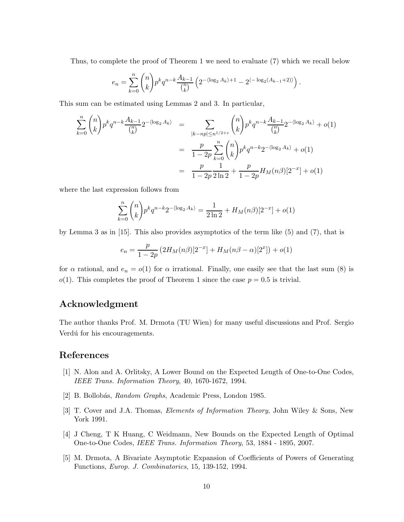Thus, to complete the proof of Theorem 1 we need to evaluate (7) which we recall below

$$
e_n = \sum_{k=0}^n \binom{n}{k} p^k q^{n-k} \frac{A_{k-1}}{\binom{n}{k}} \left( 2^{-\langle \log_2 A_k \rangle + 1} - 2^{\langle -\log_2(A_{k-1}+2) \rangle} \right).
$$

This sum can be estimated using Lemmas 2 and 3. In particular,

$$
\sum_{k=0}^{n} {n \choose k} p^{k} q^{n-k} \frac{A_{k-1}}{\binom{n}{k}} 2^{-\langle \log_2 A_k \rangle} = \sum_{\substack{|k-np| \le n^{1/2+\varepsilon}}} {n \choose k} p^{k} q^{n-k} \frac{A_{k-1}}{\binom{n}{k}} 2^{-\langle \log_2 A_k \rangle} + o(1)
$$

$$
= \frac{p}{1-2p} \sum_{k=0}^{n} {n \choose k} p^{k} q^{n-k} 2^{-\langle \log_2 A_k \rangle} + o(1)
$$

$$
= \frac{p}{1-2p} \frac{1}{2 \ln 2} + \frac{p}{1-2p} H_M(n\beta) [2^{-x}] + o(1)
$$

where the last expression follows from

$$
\sum_{k=0}^{n} {n \choose k} p^k q^{n-k} 2^{-\langle \log_2 A_k \rangle} = \frac{1}{2 \ln 2} + H_M(n\beta) [2^{-x}] + o(1)
$$

by Lemma 3 as in [15]. This also provides asymptotics of the term like (5) and (7), that is

$$
e_n = \frac{p}{1 - 2p} \left( 2H_M(n\beta) [2^{-x}] + H_M(n\beta - \alpha) [2^x] \right) + o(1)
$$

for  $\alpha$  rational, and  $e_n = o(1)$  for  $\alpha$  irrational. Finally, one easily see that the last sum (8) is  $o(1)$ . This completes the proof of Theorem 1 since the case  $p = 0.5$  is trivial.

### Acknowledgment

The author thanks Prof. M. Drmota (TU Wien) for many useful discussions and Prof. Sergio Verdú for his encouragements.

### References

- [1] N. Alon and A. Orlitsky, A Lower Bound on the Expected Length of One-to-One Codes, IEEE Trans. Information Theory, 40, 1670-1672, 1994.
- [2] B. Bollobás, Random Graphs, Academic Press, London 1985.
- [3] T. Cover and J.A. Thomas, Elements of Information Theory, John Wiley & Sons, New York 1991.
- [4] J Cheng, T K Huang, C Weidmann, New Bounds on the Expected Length of Optimal One-to-One Codes, IEEE Trans. Information Theory, 53, 1884 - 1895, 2007.
- [5] M. Drmota, A Bivariate Asymptotic Expansion of Coefficients of Powers of Generating Functions, Europ. J. Combinatorics, 15, 139-152, 1994.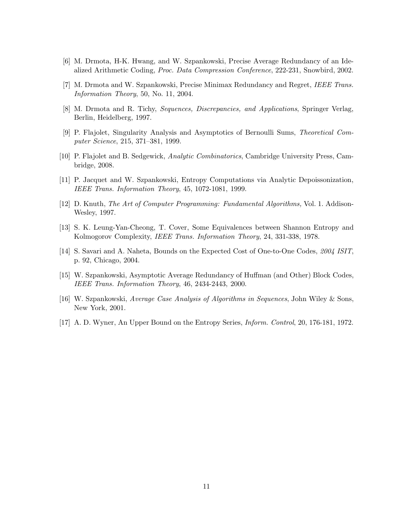- [6] M. Drmota, H-K. Hwang, and W. Szpankowski, Precise Average Redundancy of an Idealized Arithmetic Coding, Proc. Data Compression Conference, 222-231, Snowbird, 2002.
- [7] M. Drmota and W. Szpankowski, Precise Minimax Redundancy and Regret, IEEE Trans. Information Theory, 50, No. 11, 2004.
- [8] M. Drmota and R. Tichy, Sequences, Discrepancies, and Applications, Springer Verlag, Berlin, Heidelberg, 1997.
- [9] P. Flajolet, Singularity Analysis and Asymptotics of Bernoulli Sums, Theoretical Computer Science, 215, 371–381, 1999.
- [10] P. Flajolet and B. Sedgewick, Analytic Combinatorics, Cambridge University Press, Cambridge, 2008.
- [11] P. Jacquet and W. Szpankowski, Entropy Computations via Analytic Depoissonization, IEEE Trans. Information Theory, 45, 1072-1081, 1999.
- [12] D. Knuth, The Art of Computer Programming: Fundamental Algorithms, Vol. 1. Addison-Wesley, 1997.
- [13] S. K. Leung-Yan-Cheong, T. Cover, Some Equivalences between Shannon Entropy and Kolmogorov Complexity, IEEE Trans. Information Theory, 24, 331-338, 1978.
- [14] S. Savari and A. Naheta, Bounds on the Expected Cost of One-to-One Codes, 2004 ISIT, p. 92, Chicago, 2004.
- [15] W. Szpankowski, Asymptotic Average Redundancy of Huffman (and Other) Block Codes, IEEE Trans. Information Theory, 46, 2434-2443, 2000.
- [16] W. Szpankowski, Average Case Analysis of Algorithms in Sequences, John Wiley & Sons, New York, 2001.
- [17] A. D. Wyner, An Upper Bound on the Entropy Series, Inform. Control, 20, 176-181, 1972.